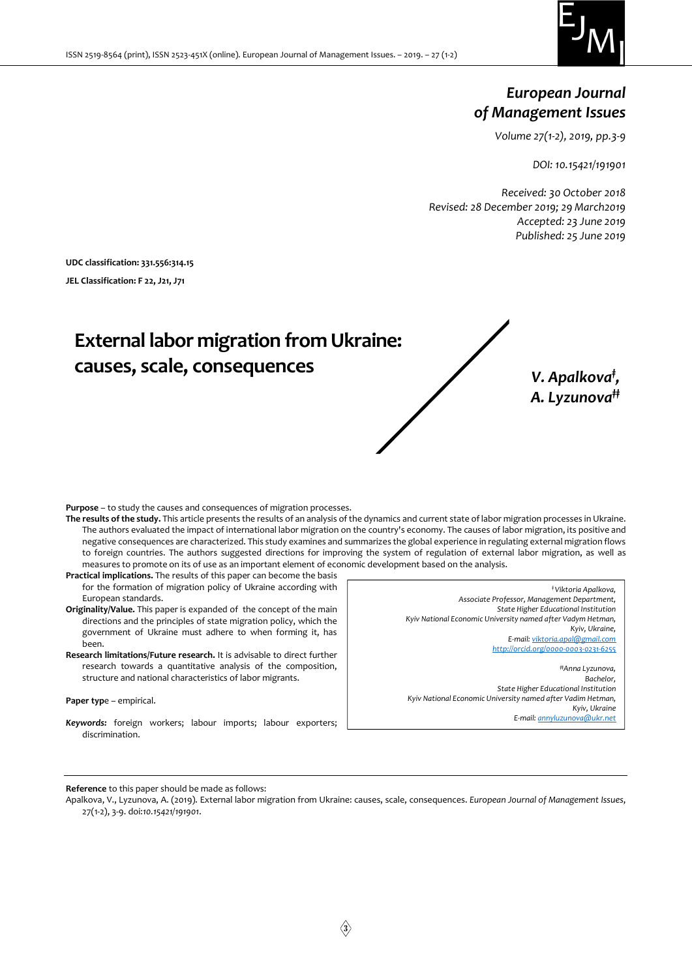

## European Journal of Management Issues

Volume 27(1-2), 2019, pp.3-9

DOI: 10.15421/191901

Received: 30 October 2018 Revised: 28 December 2019; 29 March2019 Accepted: 23 June 2019 Published: 25 June 2019

UDC classification: 331.556:314.15 JEL Classification: F 22, J21, J71

# External labor migration from Ukraine: causes, scale, consequences

V. Apalkova<sup>†</sup>, A. Lyzunova<sup>##</sup>

Purpose – to study the causes and consequences of migration processes.

- The results of the study. This article presents the results of an analysis of the dynamics and current state of labor migration processes in Ukraine. The authors evaluated the impact of international labor migration on the country's economy. The causes of labor migration, its positive and negative consequences are characterized. This study examines and summarizes the global experience in regulating external migration flows to foreign countries. The authors suggested directions for improving the system of regulation of external labor migration, as well as measures to promote on its of use as an important element of economic development based on the analysis.
- Practical implications. The results of this paper can become the basis for the formation of migration policy of Ukraine according with European standards.
- Originality/Value. This paper is expanded of the concept of the main directions and the principles of state migration policy, which the government of Ukraine must adhere to when forming it, has been.
- Research limitations/Future research. It is advisable to direct further research towards a quantitative analysis of the composition, structure and national characteristics of labor migrants.

#### Paper type – empirical.

Keywords: foreign workers; labour imports; labour exporters; discrimination.

‡ Viktoria Apalkova, Associate Professor, Management Department, State Higher Educational Institution Kyiv National Economic University named after Vadym Hetman, Kyiv, Ukraine, E-mail: viktoria.apal@gmail.com http://orcid.org/0000-0003-0231-6255 ‡‡Anna Lyzunova,

Bachelor, State Higher Educational Institution Kyiv National Economic University named after Vadim Hetman, Kyiv, Ukraine E-mail: annyluzunova@ukr.net

Reference to this paper should be made as follows:

Apalkova, V., Lyzunova, A. (2019). External labor migration from Ukraine: causes, scale, consequences. European Journal of Management Issues, 27(1-2), 3-9. doi:10.15421/191901.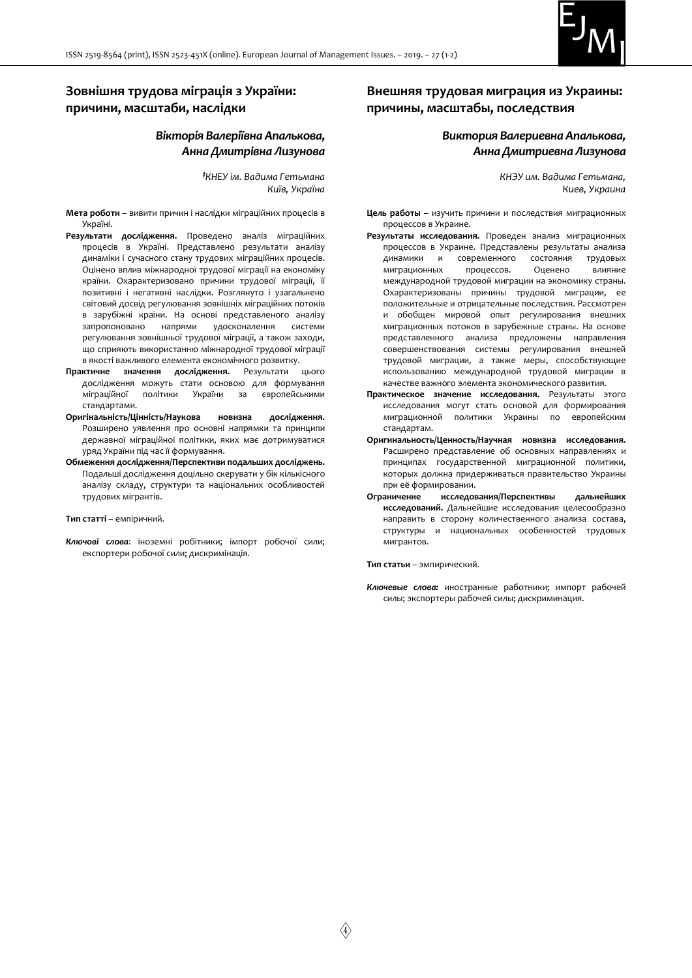

## Зовнішня трудова міграція з України: причини, масштаби, наслідки

## Вікторія Валеріївна Апалькова, Анна Дмитрівна Лизунова

‡КНЕУ ім. Вадима Гетьмана Київ, Україна

Мета роботи – вивити причин і наслідки міграційних процесів в Україні.

- Результати дослідження. Проведено аналіз міграційних процесів в Україні. Представлено результати аналізу динаміки і сучасного стану трудових міграційних процесів. Оцінено вплив міжнародної трудової міграції на економіку країни. Охарактеризовано причини трудової міграції, її позитивні і негативні наслідки. Розглянуто і узагальнено світовий досвід регулювання зовнішніх міграційних потоків в зарубіжні країни. На основі представленого аналізу запропоновано напрями удосконалення системи регулювання зовнішньої трудової міграції, а також заходи, що сприяють використанню міжнародної трудової міграції в якості важливого елемента економічного розвитку.
- Практичне значення дослідження. Результати цього дослідження можуть стати основою для формування міграційної політики України за європейськими стандартами.
- Оригінальність/Цінність/Наукова новизна дослідження. Розширено уявлення про основні напрямки та принципи державної міграційної політики, яких має дотримуватися уряд України під час її формування.
- Обмеження дослідження/Перспективи подальших досліджень. Подальші дослідження доцільно скерувати у бік кількісного аналізу складу, структури та національних особливостей трудових мігрантів.

#### Тип статті – емпіричний.

Ключові слова: іноземні робітники; імпорт робочої сили; експортери робочої сили; дискримінація.

## Внешняя трудовая миграция из Украины: причины, масштабы, последствия

#### Виктория Валериевна Апалькова, Анна Дмитриевна Лизунова

КНЭУ им. Вадима Гетьмана, Киев, Украина

- Цель работы изучить причини и последствия миграционных процессов в Украине.
- Результаты исследования. Проведен анализ миграционных процессов в Украине. Представлены результаты анализа динамики и современного состояния трудовых миграционных процессов. Оценено влияние международной трудовой миграции на экономику страны. Охарактеризованы причины трудовой миграции, ее положительные и отрицательные последствия. Рассмотрен и обобщен мировой опыт регулирования внешних миграционных потоков в зарубежные страны. На основе представленного анализа предложены направления совершенствования системы регулирования внешней трудовой миграции, а также меры, способствующие использованию международной трудовой миграции в качестве важного элемента экономического развития.
- Практическое значение исследования. Результаты этого исследования могут стать основой для формирования миграционной политики Украины по европейским стандартам.
- Оригинальность/Ценность/Научная новизна исследования. Расширено представление об основных направлениях и принципах государственной миграционной политики, которых должна придерживаться правительство Украины при её формировании.
- Ограничение исследования/Перспективы дальнейших исследований. Дальнейшие исследования целесообразно направить в сторону количественного анализа состава, структуры и национальных особенностей трудовых мигрантов.

#### Тип статьи – эмпирический.

Ключевые слова: иностранные работники; импорт рабочей силы; экспортеры рабочей силы; дискриминация.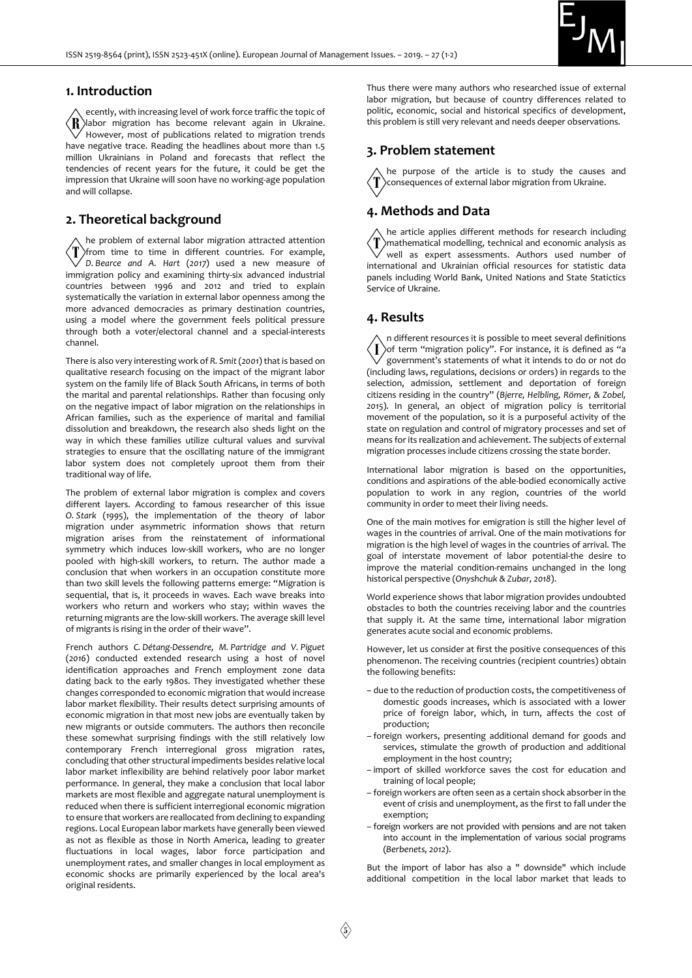

#### 1. Introduction

ecently, with increasing level of work force traffic the topic of ∕R` labor migration has become relevant again in Ukraine. However, most of publications related to migration trends have negative trace. Reading the headlines about more than 1.5 million Ukrainians in Poland and forecasts that reflect the tendencies of recent years for the future, it could be get the impression that Ukraine will soon have no working-age population and will collapse.

#### 2. Theoretical background

he problem of external labor migration attracted attention  $\langle T \rangle$ from time to time in different countries. For example,  $\sqrt{}$  D. Bearce and A. Hart (2017) used a new measure of immigration policy and examining thirty-six advanced industrial countries between 1996 and 2012 and tried to explain systematically the variation in external labor openness among the more advanced democracies as primary destination countries, using a model where the government feels political pressure through both a voter/electoral channel and a special-interests channel.

There is also very interesting work of R. Smit (2001) that is based on qualitative research focusing on the impact of the migrant labor system on the family life of Black South Africans, in terms of both the marital and parental relationships. Rather than focusing only on the negative impact of labor migration on the relationships in African families, such as the experience of marital and familial dissolution and breakdown, the research also sheds light on the way in which these families utilize cultural values and survival strategies to ensure that the oscillating nature of the immigrant labor system does not completely uproot them from their traditional way of life.

The problem of external labor migration is complex and covers different layers. According to famous researcher of this issue O. Stark (1995), the implementation of the theory of labor migration under asymmetric information shows that return migration arises from the reinstatement of informational symmetry which induces low-skill workers, who are no longer pooled with high-skill workers, to return. The author made a conclusion that when workers in an occupation constitute more than two skill levels the following patterns emerge: "Migration is sequential, that is, it proceeds in waves. Each wave breaks into workers who return and workers who stay; within waves the returning migrants are the low-skill workers. The average skill level of migrants is rising in the order of their wave".

French authors C. Détang-Dessendre, M. Partridge and V. Piguet (2016) conducted extended research using a host of novel identification approaches and French employment zone data dating back to the early 1980s. They investigated whether these changes corresponded to economic migration that would increase labor market flexibility. Their results detect surprising amounts of economic migration in that most new jobs are eventually taken by new migrants or outside commuters. The authors then reconcile these somewhat surprising findings with the still relatively low contemporary French interregional gross migration rates, concluding that other structural impediments besides relative local labor market inflexibility are behind relatively poor labor market performance. In general, they make a conclusion that local labor markets are most flexible and aggregate natural unemployment is reduced when there is sufficient interregional economic migration to ensure that workers are reallocated from declining to expanding regions. Local European labor markets have generally been viewed as not as flexible as those in North America, leading to greater fluctuations in local wages, labor force participation and unemployment rates, and smaller changes in local employment as economic shocks are primarily experienced by the local area's original residents.

Thus there were many authors who researched issue of external labor migration, but because of country differences related to politic, economic, social and historical specifics of development, this problem is still very relevant and needs deeper observations.

#### 3. Problem statement

he purpose of the article is to study the causes and consequences of external labor migration from Ukraine.

## 4. Methods and Data

he article applies different methods for research including mathematical modelling, technical and economic analysis as well as expert assessments. Authors used number of international and Ukrainian official resources for statistic data panels including World Bank, United Nations and State Statictics Service of Ukraine.

#### 4. Results

n different resources it is possible to meet several definitions  $\bf{l}$ of term "migration policy". For instance, it is defined as "a government's statements of what it intends to do or not do (including laws, regulations, decisions or orders) in regards to the selection, admission, settlement and deportation of foreign citizens residing in the country" (Bjerre, Helbling, Römer, & Zobel, 2015). In general, an object of migration policy is territorial movement of the population, so it is a purposeful activity of the state on regulation and control of migratory processes and set of means for its realization and achievement. The subjects of external migration processes include citizens crossing the state border.

International labor migration is based on the opportunities, conditions and aspirations of the able-bodied economically active population to work in any region, countries of the world community in order to meet their living needs.

One of the main motives for emigration is still the higher level of wages in the countries of arrival. One of the main motivations for migration is the high level of wages in the countries of arrival. The goal of interstate movement of labor potential-the desire to improve the material condition-remains unchanged in the long historical perspective (Onyshchuk & Zubar, 2018).

World experience shows that labor migration provides undoubted obstacles to both the countries receiving labor and the countries that supply it. At the same time, international labor migration generates acute social and economic problems.

However, let us consider at first the positive consequences of this phenomenon. The receiving countries (recipient countries) obtain the following benefits:

- due to the reduction of production costs, the competitiveness of domestic goods increases, which is associated with a lower price of foreign labor, which, in turn, affects the cost of production;
- foreign workers, presenting additional demand for goods and services, stimulate the growth of production and additional employment in the host country;
- import of skilled workforce saves the cost for education and training of local people;
- foreign workers are often seen as a certain shock absorber in the event of crisis and unemployment, as the first to fall under the exemption;
- foreign workers are not provided with pensions and are not taken into account in the implementation of various social programs (Berbenets, 2012).

But the import of labor has also a " downside" which include additional competition in the local labor market that leads to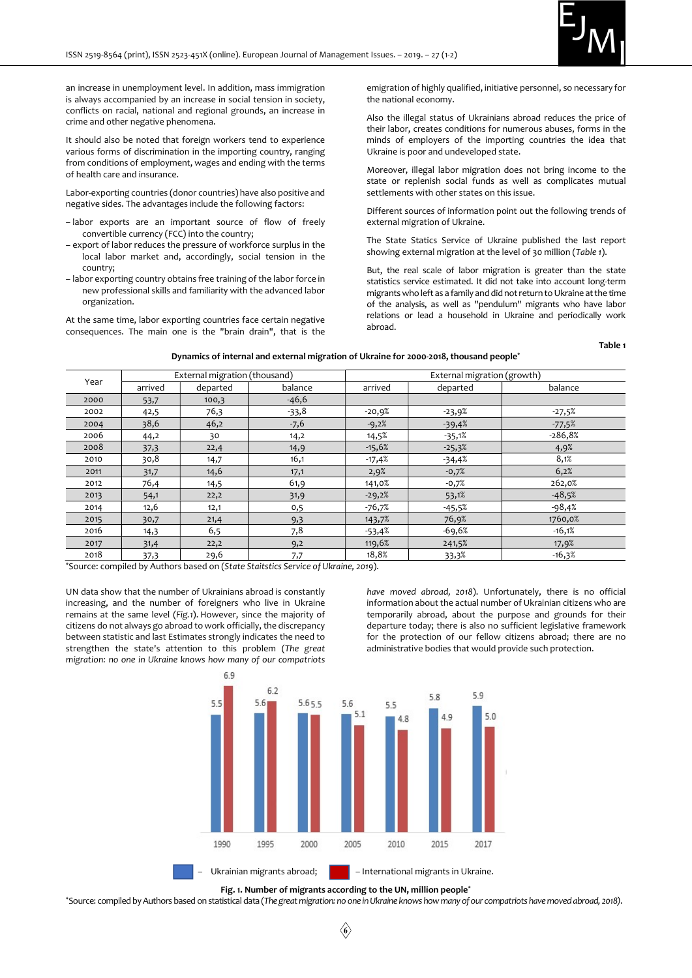

Table 1

an increase in unemployment level. In addition, mass immigration is always accompanied by an increase in social tension in society, conflicts on racial, national and regional grounds, an increase in crime and other negative phenomena.

It should also be noted that foreign workers tend to experience various forms of discrimination in the importing country, ranging from conditions of employment, wages and ending with the terms of health care and insurance.

Labor-exporting countries (donor countries) have also positive and negative sides. The advantages include the following factors:

- labor exports are an important source of flow of freely convertible currency (FCC) into the country;
- export of labor reduces the pressure of workforce surplus in the local labor market and, accordingly, social tension in the country;
- labor exporting country obtains free training of the labor force in new professional skills and familiarity with the advanced labor organization.

At the same time, labor exporting countries face certain negative consequences. The main one is the "brain drain", that is the

emigration of highly qualified, initiative personnel, so necessary for the national economy.

Also the illegal status of Ukrainians abroad reduces the price of their labor, creates conditions for numerous abuses, forms in the minds of employers of the importing countries the idea that Ukraine is poor and undeveloped state.

Moreover, illegal labor migration does not bring income to the state or replenish social funds as well as complicates mutual settlements with other states on this issue.

Different sources of information point out the following trends of external migration of Ukraine.

The State Statics Service of Ukraine published the last report showing external migration at the level of 30 million (Table 1).

But, the real scale of labor migration is greater than the state statistics service estimated. It did not take into account long-term migrants who left as a family and did not return to Ukraine at the time of the analysis, as well as "pendulum" migrants who have labor relations or lead a household in Ukraine and periodically work abroad.

#### Dynamics of internal and external migration of Ukraine for 2000-2018, thousand people\*

| Year | External migration (thousand) |          |         | External migration (growth) |          |           |
|------|-------------------------------|----------|---------|-----------------------------|----------|-----------|
|      | arrived                       | departed | balance | arrived                     | departed | balance   |
| 2000 | 53,7                          | 100,3    | $-46,6$ |                             |          |           |
| 2002 | 42,5                          | 76,3     | $-33,8$ | $-20,9%$                    | $-23,9%$ | $-27,5%$  |
| 2004 | 38,6                          | 46,2     | $-7,6$  | $-9,2%$                     | $-39,4%$ | $-77,5%$  |
| 2006 | 44,2                          | 30       | 14,2    | 14,5%                       | $-35,1%$ | $-286,8%$ |
| 2008 | 37,3                          | 22,4     | 14,9    | $-15,6%$                    | $-25,3%$ | 4,9%      |
| 2010 | 30,8                          | 14,7     | 16,1    | $-17,4%$                    | $-34,4%$ | 8,1%      |
| 2011 | 31,7                          | 14,6     | 17,1    | 2,9%                        | $-0,7%$  | 6,2%      |
| 2012 | 76,4                          | 14,5     | 61,9    | 141,0%                      | $-0,7%$  | 262,0%    |
| 2013 | 54,1                          | 22,2     | 31,9    | $-29,2%$                    | 53,1%    | $-48,5%$  |
| 2014 | 12,6                          | 12,1     | 0,5     | $-76,7%$                    | $-45,5%$ | $-98,4%$  |
| 2015 | 30,7                          | 21,4     | 9,3     | 143,7%                      | 76,9%    | 1760,0%   |
| 2016 | 14,3                          | 6,5      | 7,8     | -53,4%                      | -69,6%   | $-16,1%$  |
| 2017 | 31,4                          | 22,2     | 9,2     | 119,6%                      | 241,5%   | 17,9%     |
| 2018 | 37,3                          | 29,6     | 7,7     | 18,8%                       | 33,3%    | $-16,3%$  |

\*Source: compiled by Authors based on (State Staitstics Service of Ukraine, 2019).

UN data show that the number of Ukrainians abroad is constantly increasing, and the number of foreigners who live in Ukraine remains at the same level (Fig.1). However, since the majority of citizens do not always go abroad to work officially, the discrepancy between statistic and last Estimates strongly indicates the need to strengthen the state's attention to this problem (The great migration: no one in Ukraine knows how many of our compatriots

have moved abroad, 2018). Unfortunately, there is no official information about the actual number of Ukrainian citizens who are temporarily abroad, about the purpose and grounds for their departure today; there is also no sufficient legislative framework for the protection of our fellow citizens abroad; there are no administrative bodies that would provide such protection.



Fig. 1. Number of migrants according to the UN, million people<sup>\*</sup>

\*Source: compiled by Authors based on statistical data (The great migration: no one in Ukraine knows how many of our compatriots have moved abroad, 2018).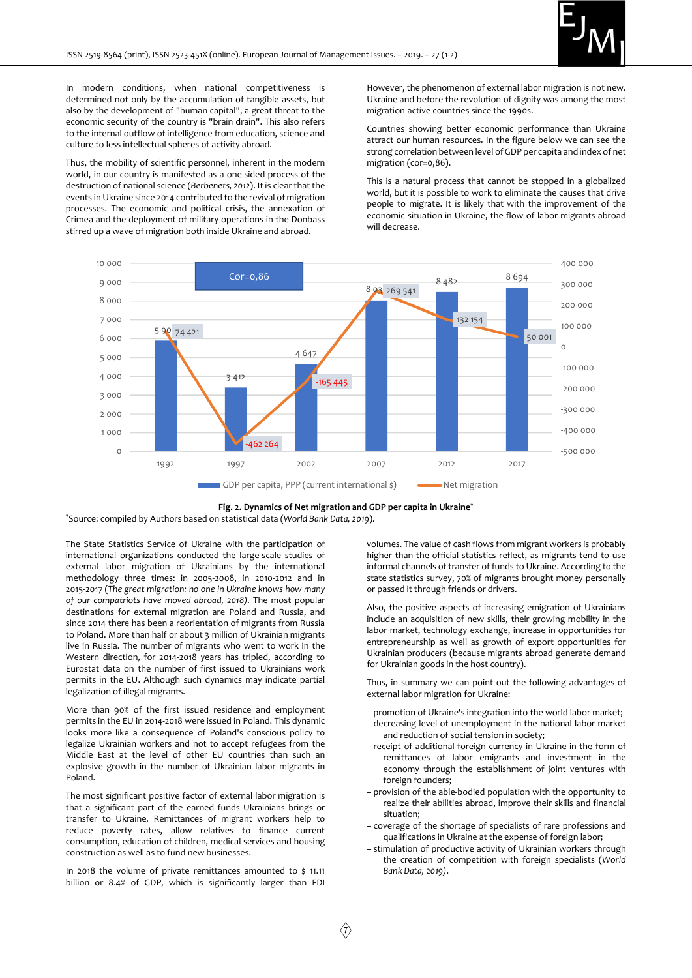

In modern conditions, when national competitiveness is determined not only by the accumulation of tangible assets, but also by the development of "human capital", a great threat to the economic security of the country is "brain drain". This also refers to the internal outflow of intelligence from education, science and culture to less intellectual spheres of activity abroad.

Thus, the mobility of scientific personnel, inherent in the modern world, in our country is manifested as a one-sided process of the destruction of national science (Berbenets, 2012). It is clear that the events in Ukraine since 2014 contributed to the revival of migration processes. The economic and political crisis, the annexation of Crimea and the deployment of military operations in the Donbass stirred up a wave of migration both inside Ukraine and abroad.

However, the phenomenon of external labor migration is not new. Ukraine and before the revolution of dignity was among the most migration-active countries since the 1990s.

Countries showing better economic performance than Ukraine attract our human resources. In the figure below we can see the strong correlation between level of GDP per capita and index of net migration (cor=0,86).

This is a natural process that cannot be stopped in a globalized world, but it is possible to work to eliminate the causes that drive people to migrate. It is likely that with the improvement of the economic situation in Ukraine, the flow of labor migrants abroad will decrease.





\*Source: compiled by Authors based on statistical data (World Bank Data, 2019).

The State Statistics Service of Ukraine with the participation of international organizations conducted the large-scale studies of external labor migration of Ukrainians by the international methodology three times: in 2005-2008, in 2010-2012 and in 2015-2017 (The great migration: no one in Ukraine knows how many of our compatriots have moved abroad, 2018). The most popular destinations for external migration are Poland and Russia, and since 2014 there has been a reorientation of migrants from Russia to Poland. More than half or about 3 million of Ukrainian migrants live in Russia. The number of migrants who went to work in the Western direction, for 2014-2018 years has tripled, according to Eurostat data on the number of first issued to Ukrainians work permits in the EU. Although such dynamics may indicate partial legalization of illegal migrants.

More than 90% of the first issued residence and employment permits in the EU in 2014-2018 were issued in Poland. This dynamic looks more like a consequence of Poland's conscious policy to legalize Ukrainian workers and not to accept refugees from the Middle East at the level of other EU countries than such an explosive growth in the number of Ukrainian labor migrants in Poland.

The most significant positive factor of external labor migration is that a significant part of the earned funds Ukrainians brings or transfer to Ukraine. Remittances of migrant workers help to reduce poverty rates, allow relatives to finance current consumption, education of children, medical services and housing construction as well as to fund new businesses.

In 2018 the volume of private remittances amounted to \$ 11.11 billion or 8.4% of GDP, which is significantly larger than FDI

volumes. The value of cash flows from migrant workers is probably higher than the official statistics reflect, as migrants tend to use informal channels of transfer of funds to Ukraine. According to the state statistics survey, 70% of migrants brought money personally or passed it through friends or drivers.

Also, the positive aspects of increasing emigration of Ukrainians include an acquisition of new skills, their growing mobility in the labor market, technology exchange, increase in opportunities for entrepreneurship as well as growth of export opportunities for Ukrainian producers (because migrants abroad generate demand for Ukrainian goods in the host country).

Thus, in summary we can point out the following advantages of external labor migration for Ukraine:

- promotion of Ukraine's integration into the world labor market;
- decreasing level of unemployment in the national labor market and reduction of social tension in society;
- receipt of additional foreign currency in Ukraine in the form of remittances of labor emigrants and investment in the economy through the establishment of joint ventures with foreign founders;
- provision of the able-bodied population with the opportunity to realize their abilities abroad, improve their skills and financial situation;
- coverage of the shortage of specialists of rare professions and qualifications in Ukraine at the expense of foreign labor;
- stimulation of productive activity of Ukrainian workers through the creation of competition with foreign specialists (World Bank Data, 2019).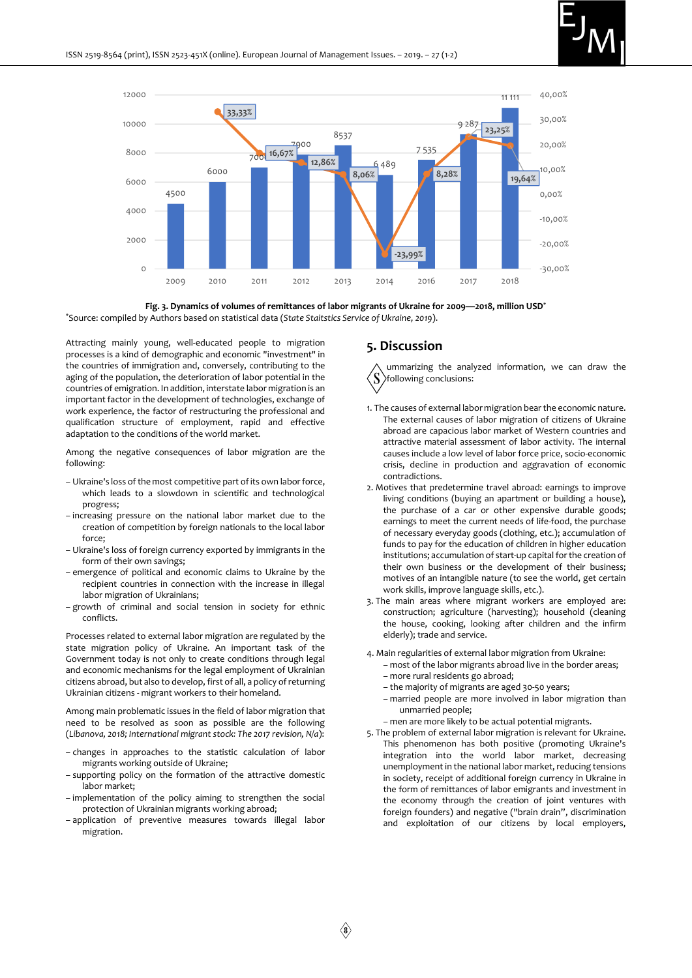





Attracting mainly young, well-educated people to migration processes is a kind of demographic and economic "investment" in the countries of immigration and, conversely, contributing to the aging of the population, the deterioration of labor potential in the countries of emigration. In addition, interstate labor migration is an important factor in the development of technologies, exchange of work experience, the factor of restructuring the professional and qualification structure of employment, rapid and effective adaptation to the conditions of the world market.

Among the negative consequences of labor migration are the following:

- Ukraine's loss of the most competitive part of its own labor force, which leads to a slowdown in scientific and technological progress;
- increasing pressure on the national labor market due to the creation of competition by foreign nationals to the local labor force;
- Ukraine's loss of foreign currency exported by immigrants in the form of their own savings;
- emergence of political and economic claims to Ukraine by the recipient countries in connection with the increase in illegal labor migration of Ukrainians;
- growth of criminal and social tension in society for ethnic conflicts.

Processes related to external labor migration are regulated by the state migration policy of Ukraine. An important task of the Government today is not only to create conditions through legal and economic mechanisms for the legal employment of Ukrainian citizens abroad, but also to develop, first of all, a policy of returning Ukrainian citizens - migrant workers to their homeland.

Among main problematic issues in the field of labor migration that need to be resolved as soon as possible are the following (Libanova, 2018; International migrant stock: The 2017 revision, N/a):

- changes in approaches to the statistic calculation of labor migrants working outside of Ukraine;
- supporting policy on the formation of the attractive domestic labor market;
- implementation of the policy aiming to strengthen the social protection of Ukrainian migrants working abroad;
- application of preventive measures towards illegal labor migration.

#### 5. Discussion

ummarizing the analyzed information, we can draw the S following conclusions:

- 1. The causes of external labor migration bear the economic nature. The external causes of labor migration of citizens of Ukraine abroad are capacious labor market of Western countries and attractive material assessment of labor activity. The internal causes include a low level of labor force price, socio-economic crisis, decline in production and aggravation of economic contradictions.
- 2. Motives that predetermine travel abroad: earnings to improve living conditions (buying an apartment or building a house), the purchase of a car or other expensive durable goods; earnings to meet the current needs of life-food, the purchase of necessary everyday goods (clothing, etc.); accumulation of funds to pay for the education of children in higher education institutions; accumulation of start-up capital for the creation of their own business or the development of their business; motives of an intangible nature (to see the world, get certain work skills, improve language skills, etc.).
- 3. The main areas where migrant workers are employed are: construction; agriculture (harvesting); household (cleaning the house, cooking, looking after children and the infirm elderly); trade and service.
- 4. Main regularities of external labor migration from Ukraine:
	- most of the labor migrants abroad live in the border areas;
	- more rural residents go abroad;
	- the majority of migrants are aged 30-50 years;
	- married people are more involved in labor migration than unmarried people;
	- men are more likely to be actual potential migrants.
- 5. The problem of external labor migration is relevant for Ukraine. This phenomenon has both positive (promoting Ukraine's integration into the world labor market, decreasing unemployment in the national labor market, reducing tensions in society, receipt of additional foreign currency in Ukraine in the form of remittances of labor emigrants and investment in the economy through the creation of joint ventures with foreign founders) and negative ("brain drain", discrimination and exploitation of our citizens by local employers,